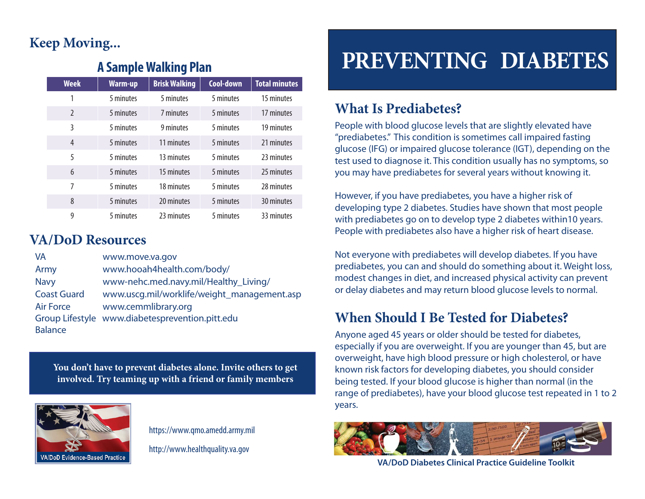## **Keep Moving...**

#### **A Sample Walking Plan**

| <b>Week</b>              | <b>Warm-up</b> | <b>Brisk Walking</b> | Cool-down | <b>Total minutes</b> |
|--------------------------|----------------|----------------------|-----------|----------------------|
| 1                        | 5 minutes      | 5 minutes            | 5 minutes | 15 minutes           |
| $\overline{\phantom{0}}$ | 5 minutes      | 7 minutes            | 5 minutes | 17 minutes           |
| 3                        | 5 minutes      | 9 minutes            | 5 minutes | 19 minutes           |
| 4                        | 5 minutes      | 11 minutes           | 5 minutes | 21 minutes           |
| 5                        | 5 minutes      | 13 minutes           | 5 minutes | 23 minutes           |
| 6                        | 5 minutes      | 15 minutes           | 5 minutes | 25 minutes           |
| 7                        | 5 minutes      | 18 minutes           | 5 minutes | 28 minutes           |
| 8                        | 5 minutes      | 20 minutes           | 5 minutes | 30 minutes           |
| 9                        | 5 minutes      | 23 minutes           | 5 minutes | 33 minutes           |

#### **VA/DoD Resources**

| VA                 | www.move.va.gov                                 |
|--------------------|-------------------------------------------------|
| Army               | www.hooah4health.com/body/                      |
| <b>Navy</b>        | www-nehc.med.navy.mil/Healthy_Living/           |
| <b>Coast Guard</b> | www.uscg.mil/worklife/weight_management.asp     |
| <b>Air Force</b>   | www.cemmlibrary.org                             |
|                    | Group Lifestyle www.diabetesprevention.pitt.edu |
| <b>Balance</b>     |                                                 |

**You don't have to prevent diabetes alone. Invite others to get involved. Try teaming up with a friend or family members**



https://www.qmo.amedd.army.mil

http://www.healthquality.va.gov

# **PREVENTING DIABETES**

#### **What Is Prediabetes?**

People with blood glucose levels that are slightly elevated have "prediabetes." This condition is sometimes call impaired fasting glucose (IFG) or impaired glucose tolerance (IGT), depending on the test used to diagnose it. This condition usually has no symptoms, so you may have prediabetes for several years without knowing it.

However, if you have prediabetes, you have a higher risk of developing type 2 diabetes. Studies have shown that most people with prediabetes go on to develop type 2 diabetes within10 years. People with prediabetes also have a higher risk of heart disease.

Not everyone with prediabetes will develop diabetes. If you have prediabetes, you can and should do something about it. Weight loss, modest changes in diet, and increased physical activity can prevent or delay diabetes and may return blood glucose levels to normal.

#### **When Should I Be Tested for Diabetes?**

Anyone aged 45 years or older should be tested for diabetes, especially if you are overweight. If you are younger than 45, but are overweight, have high blood pressure or high cholesterol, or have known risk factors for developing diabetes, you should consider being tested. If your blood glucose is higher than normal (in the range of prediabetes), have your blood glucose test repeated in 1 to 2 years.



**VA/DoD Diabetes Clinical Practice Guideline Toolkit**